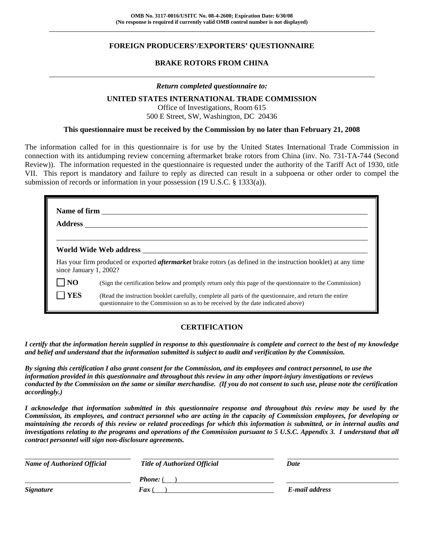### **FOREIGN PRODUCERS'/EXPORTERS' QUESTIONNAIRE**

#### **BRAKE ROTORS FROM CHINA**

#### *Return completed questionnaire to:*

#### **UNITED STATES INTERNATIONAL TRADE COMMISSION**

Office of Investigations, Room 615 500 E Street, SW, Washington, DC 20436

#### **This questionnaire must be received by the Commission by no later than February 21, 2008**

The information called for in this questionnaire is for use by the United States International Trade Commission in connection with its antidumping review concerning aftermarket brake rotors from China (inv. No. 731-TA-744 (Second Review)). The information requested in the questionnaire is requested under the authority of the Tariff Act of 1930, title VII. This report is mandatory and failure to reply as directed can result in a subpoena or other order to compel the submission of records or information in your possession (19 U.S.C. § 1333(a)).

| <b>Address</b>         |                                                                                                                                                                                              |  |  |  |
|------------------------|----------------------------------------------------------------------------------------------------------------------------------------------------------------------------------------------|--|--|--|
|                        |                                                                                                                                                                                              |  |  |  |
| since January 1, 2002? | Has your firm produced or exported <i>aftermarket</i> brake rotors (as defined in the instruction booklet) at any time                                                                       |  |  |  |
| N <sub>O</sub>         | (Sign the certification below and promptly return only this page of the questionnaire to the Commission)                                                                                     |  |  |  |
| <b>YES</b>             | (Read the instruction booklet carefully, complete all parts of the questionnaire, and return the entire<br>questionnaire to the Commission so as to be received by the date indicated above) |  |  |  |

#### **CERTIFICATION**

*I certify that the information herein supplied in response to this questionnaire is complete and correct to the best of my knowledge and belief and understand that the information submitted is subject to audit and verification by the Commission.* 

*By signing this certification I also grant consent for the Commission, and its employees and contract personnel, to use the information provided in this questionnaire and throughout this review in any other import-injury investigations or reviews conducted by the Commission on the same or similar merchandise. (If you do not consent to such use, please note the certification accordingly.)* 

*I acknowledge that information submitted in this questionnaire response and throughout this review may be used by the Commission, its employees, and contract personnel who are acting in the capacity of Commission employees, for developing or maintaining the records of this review or related proceedings for which this information is submitted, or in internal audits and investigations relating to the programs and operations of the Commission pursuant to 5 U.S.C. Appendix 3. I understand that all contract personnel will sign non-disclosure agreements.* 

| <b>Name of Authorized Official</b> | <b>Title of Authorized Official</b> | Date           |
|------------------------------------|-------------------------------------|----------------|
|                                    | <b>Phone:</b> (                     |                |
| <i><b>Signature</b></i>            | <b>Fax</b> (                        | E-mail address |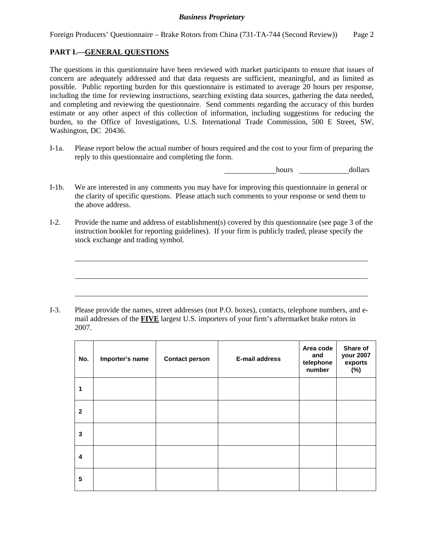### **PART I.—GENERAL QUESTIONS**

 $\overline{a}$ 

 $\overline{a}$ 

 $\overline{a}$ 

The questions in this questionnaire have been reviewed with market participants to ensure that issues of concern are adequately addressed and that data requests are sufficient, meaningful, and as limited as possible. Public reporting burden for this questionnaire is estimated to average 20 hours per response, including the time for reviewing instructions, searching existing data sources, gathering the data needed, and completing and reviewing the questionnaire. Send comments regarding the accuracy of this burden estimate or any other aspect of this collection of information, including suggestions for reducing the burden, to the Office of Investigations, U.S. International Trade Commission, 500 E Street, SW, Washington, DC 20436.

I-1a. Please report below the actual number of hours required and the cost to your firm of preparing the reply to this questionnaire and completing the form.

hours dollars

- I-1b. We are interested in any comments you may have for improving this questionnaire in general or the clarity of specific questions. Please attach such comments to your response or send them to the above address.
- I-2. Provide the name and address of establishment(s) covered by this questionnaire (see page 3 of the instruction booklet for reporting guidelines). If your firm is publicly traded, please specify the stock exchange and trading symbol.

I-3. Please provide the names, street addresses (not P.O. boxes), contacts, telephone numbers, and email addresses of the **FIVE** largest U.S. importers of your firm's aftermarket brake rotors in 2007.

| No.          | Importer's name | <b>Contact person</b> | E-mail address | Area code<br>and<br>telephone<br>number | Share of<br>your 2007<br>exports<br>(%) |
|--------------|-----------------|-----------------------|----------------|-----------------------------------------|-----------------------------------------|
|              |                 |                       |                |                                         |                                         |
| $\mathbf{2}$ |                 |                       |                |                                         |                                         |
| 3            |                 |                       |                |                                         |                                         |
| 4            |                 |                       |                |                                         |                                         |
| 5            |                 |                       |                |                                         |                                         |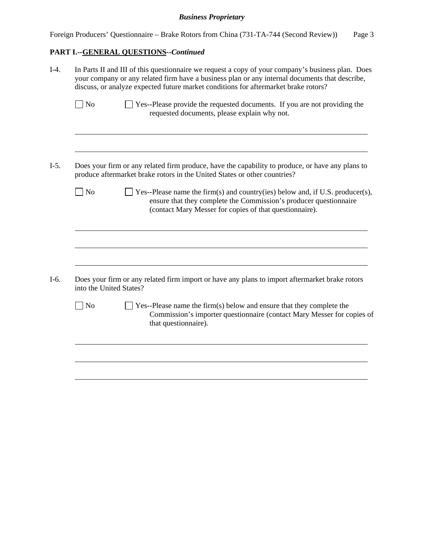Foreign Producers' Questionnaire – Brake Rotors from China (731-TA-744 (Second Review)) Page 3

## **PART I.--GENERAL QUESTIONS***--Continued*

| $I-4.$ |                         | In Parts II and III of this questionnaire we request a copy of your company's business plan. Does<br>your company or any related firm have a business plan or any internal documents that describe,<br>discuss, or analyze expected future market conditions for aftermarket brake rotors? |  |  |  |
|--------|-------------------------|--------------------------------------------------------------------------------------------------------------------------------------------------------------------------------------------------------------------------------------------------------------------------------------------|--|--|--|
|        | $\log$                  | Yes--Please provide the requested documents. If you are not providing the<br>requested documents, please explain why not.                                                                                                                                                                  |  |  |  |
| $I-5.$ |                         | Does your firm or any related firm produce, have the capability to produce, or have any plans to                                                                                                                                                                                           |  |  |  |
|        |                         | produce aftermarket brake rotors in the United States or other countries?                                                                                                                                                                                                                  |  |  |  |
|        | $\log$                  | $\exists$ Yes--Please name the firm(s) and country(ies) below and, if U.S. producer(s),<br>ensure that they complete the Commission's producer questionnaire<br>(contact Mary Messer for copies of that questionnaire).                                                                    |  |  |  |
|        |                         |                                                                                                                                                                                                                                                                                            |  |  |  |
|        | into the United States? | Does your firm or any related firm import or have any plans to import aftermarket brake rotors                                                                                                                                                                                             |  |  |  |
|        | $\log$                  | $\Box$ Yes--Please name the firm(s) below and ensure that they complete the<br>Commission's importer questionnaire (contact Mary Messer for copies of<br>that questionnaire).                                                                                                              |  |  |  |
|        |                         |                                                                                                                                                                                                                                                                                            |  |  |  |
|        |                         |                                                                                                                                                                                                                                                                                            |  |  |  |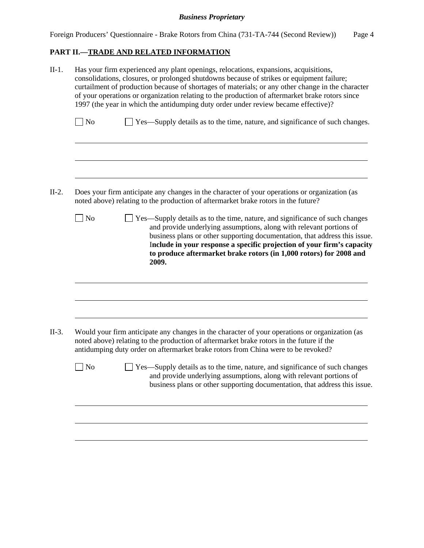Foreign Producers' Questionnaire - Brake Rotors from China (731-TA-744 (Second Review)) Page 4

### **PART II.—TRADE AND RELATED INFORMATION**

|           | Has your firm experienced any plant openings, relocations, expansions, acquisitions,<br>consolidations, closures, or prolonged shutdowns because of strikes or equipment failure;<br>curtailment of production because of shortages of materials; or any other change in the character<br>of your operations or organization relating to the production of aftermarket brake rotors since<br>1997 (the year in which the antidumping duty order under review became effective)? |
|-----------|---------------------------------------------------------------------------------------------------------------------------------------------------------------------------------------------------------------------------------------------------------------------------------------------------------------------------------------------------------------------------------------------------------------------------------------------------------------------------------|
| $\log$    | Yes—Supply details as to the time, nature, and significance of such changes.                                                                                                                                                                                                                                                                                                                                                                                                    |
|           |                                                                                                                                                                                                                                                                                                                                                                                                                                                                                 |
|           | Does your firm anticipate any changes in the character of your operations or organization (as<br>noted above) relating to the production of aftermarket brake rotors in the future?                                                                                                                                                                                                                                                                                             |
| $\Box$ No | Yes—Supply details as to the time, nature, and significance of such changes<br>and provide underlying assumptions, along with relevant portions of<br>business plans or other supporting documentation, that address this issue.<br>Include in your response a specific projection of your firm's capacity<br>to produce aftermarket brake rotors (in 1,000 rotors) for 2008 and<br>2009.                                                                                       |
|           |                                                                                                                                                                                                                                                                                                                                                                                                                                                                                 |
|           |                                                                                                                                                                                                                                                                                                                                                                                                                                                                                 |
|           | Would your firm anticipate any changes in the character of your operations or organization (as<br>noted above) relating to the production of aftermarket brake rotors in the future if the<br>antidumping duty order on aftermarket brake rotors from China were to be revoked?                                                                                                                                                                                                 |
| $ $ No    | Yes—Supply details as to the time, nature, and significance of such changes<br>and provide underlying assumptions, along with relevant portions of<br>business plans or other supporting documentation, that address this issue.                                                                                                                                                                                                                                                |
|           |                                                                                                                                                                                                                                                                                                                                                                                                                                                                                 |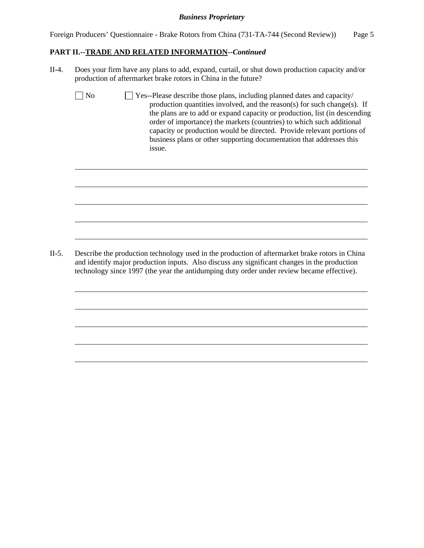Foreign Producers' Questionnaire - Brake Rotors from China (731-TA-744 (Second Review)) Page 5

#### **PART II.--TRADE AND RELATED INFORMATION***--Continued*

II-4. Does your firm have any plans to add, expand, curtail, or shut down production capacity and/or production of aftermarket brake rotors in China in the future?

 $\overline{a}$ 

 $\overline{a}$ 

 $\overline{a}$ 

 $\overline{a}$ 

 $\overline{a}$ 

 $\overline{a}$ 

 $\overline{a}$ 

 $\overline{a}$ 

 $\overline{a}$ 

 $\overline{a}$ 

 $\Box$  No  $\Box$  Yes--Please describe those plans, including planned dates and capacity/ production quantities involved, and the reason(s) for such change(s). If the plans are to add or expand capacity or production, list (in descending order of importance) the markets (countries) to which such additional capacity or production would be directed. Provide relevant portions of business plans or other supporting documentation that addresses this issue.

II-5. Describe the production technology used in the production of aftermarket brake rotors in China and identify major production inputs. Also discuss any significant changes in the production technology since 1997 (the year the antidumping duty order under review became effective).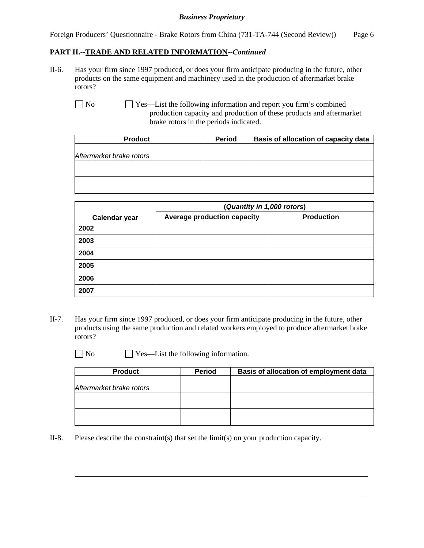Foreign Producers' Questionnaire - Brake Rotors from China (731-TA-744 (Second Review)) Page 6

### **PART II.--TRADE AND RELATED INFORMATION***--Continued*

II-6. Has your firm since 1997 produced, or does your firm anticipate producing in the future, other products on the same equipment and machinery used in the production of aftermarket brake rotors?

No  $\Box$  Yes—List the following information and report you firm's combined production capacity and production of these products and aftermarket brake rotors in the periods indicated.

| <b>Product</b>           | <b>Period</b> | Basis of allocation of capacity data |
|--------------------------|---------------|--------------------------------------|
|                          |               |                                      |
| Aftermarket brake rotors |               |                                      |
|                          |               |                                      |
|                          |               |                                      |
|                          |               |                                      |
|                          |               |                                      |

|                      | (Quantity in 1,000 rotors)         |                   |  |  |  |
|----------------------|------------------------------------|-------------------|--|--|--|
| <b>Calendar year</b> | <b>Average production capacity</b> | <b>Production</b> |  |  |  |
| 2002                 |                                    |                   |  |  |  |
| 2003                 |                                    |                   |  |  |  |
| 2004                 |                                    |                   |  |  |  |
| 2005                 |                                    |                   |  |  |  |
| 2006                 |                                    |                   |  |  |  |
| 2007                 |                                    |                   |  |  |  |

II-7. Has your firm since 1997 produced, or does your firm anticipate producing in the future, other products using the same production and related workers employed to produce aftermarket brake rotors?

l

 $\overline{a}$ 

 $\overline{a}$ 

No Pes—List the following information.

| <b>Product</b>           | <b>Period</b> | Basis of allocation of employment data |
|--------------------------|---------------|----------------------------------------|
|                          |               |                                        |
| Aftermarket brake rotors |               |                                        |
|                          |               |                                        |
|                          |               |                                        |
|                          |               |                                        |
|                          |               |                                        |

II-8. Please describe the constraint(s) that set the limit(s) on your production capacity.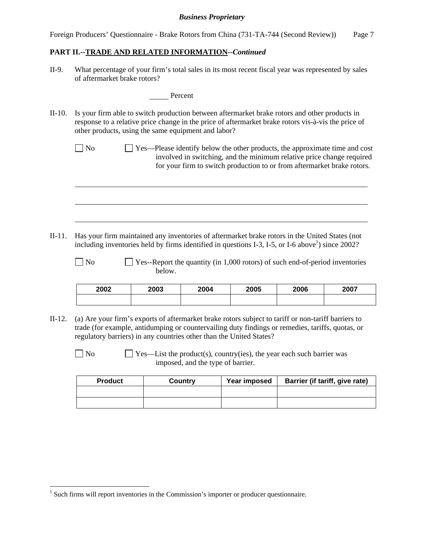Foreign Producers' Questionnaire - Brake Rotors from China (731-TA-744 (Second Review)) Page 7

#### **PART II.--TRADE AND RELATED INFORMATION***--Continued*

II-9. What percentage of your firm's total sales in its most recent fiscal year was represented by sales of aftermarket brake rotors?

Percent

- II-10. Is your firm able to switch production between aftermarket brake rotors and other products in response to a relative price change in the price of aftermarket brake rotors vis-à-vis the price of other products, using the same equipment and labor?
	- $\Box$  No  $\Box$  Yes—Please identify below the other products, the approximate time and cost involved in switching, and the minimum relative price change required for your firm to switch production to or from aftermarket brake rotors.

II-11. Has your firm maintained any inventories of aftermarket brake rotors in the United States (not including inventories held by firms identified in questions I-3, I-5, or I-6 above<sup>1</sup>) since 2002?

 $\Box$  No  $\Box$  Yes--Report the quantity (in 1,000 rotors) of such end-of-period inventories below.

| 2002 | 2003 | 2004 | 2005 | 2006 | 2007 |
|------|------|------|------|------|------|
|      |      |      |      |      |      |

- II-12. (a) Are your firm's exports of aftermarket brake rotors subject to tariff or non-tariff barriers to trade (for example, antidumping or countervailing duty findings or remedies, tariffs, quotas, or regulatory barriers) in any countries other than the United States?
	-

 $\overline{a}$ 

 $\overline{a}$ 

 $\overline{a}$ 

 $\overline{a}$ 

 $\Box$  No  $\Box$  Yes—List the product(s), country(ies), the year each such barrier was imposed, and the type of barrier.

| <b>Product</b> | Country | Year imposed | Barrier (if tariff, give rate) |
|----------------|---------|--------------|--------------------------------|
|                |         |              |                                |
|                |         |              |                                |

 $<sup>1</sup>$  Such firms will report inventories in the Commission's importer or producer questionnaire.</sup>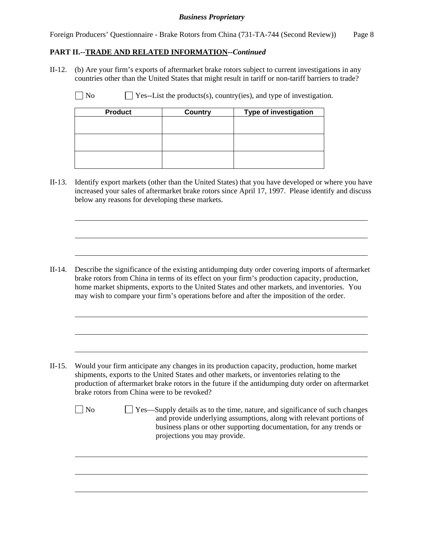Foreign Producers' Questionnaire - Brake Rotors from China (731-TA-744 (Second Review)) Page 8

### **PART II.--TRADE AND RELATED INFORMATION***--Continued*

II-12. (b) Are your firm's exports of aftermarket brake rotors subject to current investigations in any countries other than the United States that might result in tariff or non-tariff barriers to trade?

 $\Box$  No  $\Box$  Yes--List the products(s), country(ies), and type of investigation.

| <b>Product</b> | <b>Country</b> | <b>Type of investigation</b> |
|----------------|----------------|------------------------------|
|                |                |                              |
|                |                |                              |
|                |                |                              |
|                |                |                              |
|                |                |                              |
|                |                |                              |

II-13. Identify export markets (other than the United States) that you have developed or where you have increased your sales of aftermarket brake rotors since April 17, 1997. Please identify and discuss below any reasons for developing these markets.

II-14. Describe the significance of the existing antidumping duty order covering imports of aftermarket brake rotors from China in terms of its effect on your firm's production capacity, production, home market shipments, exports to the United States and other markets, and inventories. You may wish to compare your firm's operations before and after the imposition of the order.

- II-15. Would your firm anticipate any changes in its production capacity, production, home market shipments, exports to the United States and other markets, or inventories relating to the production of aftermarket brake rotors in the future if the antidumping duty order on aftermarket brake rotors from China were to be revoked?
	-

l

 $\overline{a}$ 

 $\overline{a}$ 

 $\overline{a}$ 

 $\overline{a}$ 

 $\overline{a}$ 

 $\overline{a}$ 

 $\overline{a}$ 

 $\overline{a}$ 

No  $\Box$  Yes—Supply details as to the time, nature, and significance of such changes and provide underlying assumptions, along with relevant portions of business plans or other supporting documentation, for any trends or projections you may provide.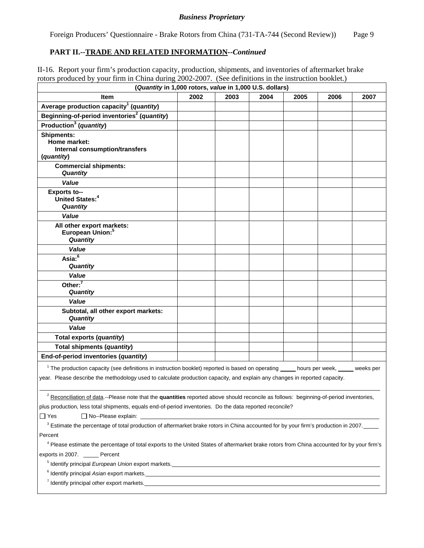Foreign Producers' Questionnaire - Brake Rotors from China (731-TA-744 (Second Review)) Page 9

### **PART II.--TRADE AND RELATED INFORMATION***--Continued*

II-16. Report your firm's production capacity, production, shipments, and inventories of aftermarket brake rotors produced by your firm in China during 2002-2007. (See definitions in the instruction booklet.)

| (Quantity in 1,000 rotors, value in 1,000 U.S. dollars)                                                                                                                                                                                                                        |                                                                                                                                                                                                                                                |      |      |      |      |      |
|--------------------------------------------------------------------------------------------------------------------------------------------------------------------------------------------------------------------------------------------------------------------------------|------------------------------------------------------------------------------------------------------------------------------------------------------------------------------------------------------------------------------------------------|------|------|------|------|------|
| Item                                                                                                                                                                                                                                                                           | 2002                                                                                                                                                                                                                                           | 2003 | 2004 | 2005 | 2006 | 2007 |
| Average production capacity <sup>1</sup> (quantity)                                                                                                                                                                                                                            |                                                                                                                                                                                                                                                |      |      |      |      |      |
| Beginning-of-period inventories <sup>2</sup> (quantity)                                                                                                                                                                                                                        |                                                                                                                                                                                                                                                |      |      |      |      |      |
| Production <sup>3</sup> (quantity)                                                                                                                                                                                                                                             |                                                                                                                                                                                                                                                |      |      |      |      |      |
| <b>Shipments:</b>                                                                                                                                                                                                                                                              |                                                                                                                                                                                                                                                |      |      |      |      |      |
| Home market:<br>Internal consumption/transfers                                                                                                                                                                                                                                 |                                                                                                                                                                                                                                                |      |      |      |      |      |
| (quantity)                                                                                                                                                                                                                                                                     |                                                                                                                                                                                                                                                |      |      |      |      |      |
| <b>Commercial shipments:</b>                                                                                                                                                                                                                                                   |                                                                                                                                                                                                                                                |      |      |      |      |      |
| Quantity                                                                                                                                                                                                                                                                       |                                                                                                                                                                                                                                                |      |      |      |      |      |
| Value                                                                                                                                                                                                                                                                          |                                                                                                                                                                                                                                                |      |      |      |      |      |
| <b>Exports to--</b>                                                                                                                                                                                                                                                            |                                                                                                                                                                                                                                                |      |      |      |      |      |
| United States: <sup>4</sup><br>Quantity                                                                                                                                                                                                                                        |                                                                                                                                                                                                                                                |      |      |      |      |      |
| Value                                                                                                                                                                                                                                                                          |                                                                                                                                                                                                                                                |      |      |      |      |      |
| All other export markets:                                                                                                                                                                                                                                                      |                                                                                                                                                                                                                                                |      |      |      |      |      |
| European Union: <sup>5</sup>                                                                                                                                                                                                                                                   |                                                                                                                                                                                                                                                |      |      |      |      |      |
| Quantity                                                                                                                                                                                                                                                                       |                                                                                                                                                                                                                                                |      |      |      |      |      |
| Value                                                                                                                                                                                                                                                                          |                                                                                                                                                                                                                                                |      |      |      |      |      |
| Asia: <sup>6</sup>                                                                                                                                                                                                                                                             |                                                                                                                                                                                                                                                |      |      |      |      |      |
| Quantity                                                                                                                                                                                                                                                                       |                                                                                                                                                                                                                                                |      |      |      |      |      |
| Value<br>Other: $7$                                                                                                                                                                                                                                                            |                                                                                                                                                                                                                                                |      |      |      |      |      |
| <b>Quantity</b>                                                                                                                                                                                                                                                                |                                                                                                                                                                                                                                                |      |      |      |      |      |
| Value                                                                                                                                                                                                                                                                          |                                                                                                                                                                                                                                                |      |      |      |      |      |
| Subtotal, all other export markets:                                                                                                                                                                                                                                            |                                                                                                                                                                                                                                                |      |      |      |      |      |
| <b>Quantity</b>                                                                                                                                                                                                                                                                |                                                                                                                                                                                                                                                |      |      |      |      |      |
| Value                                                                                                                                                                                                                                                                          |                                                                                                                                                                                                                                                |      |      |      |      |      |
| Total exports (quantity)                                                                                                                                                                                                                                                       |                                                                                                                                                                                                                                                |      |      |      |      |      |
| Total shipments (quantity)                                                                                                                                                                                                                                                     |                                                                                                                                                                                                                                                |      |      |      |      |      |
| End-of-period inventories (quantity)                                                                                                                                                                                                                                           |                                                                                                                                                                                                                                                |      |      |      |      |      |
| <sup>1</sup> The production capacity (see definitions in instruction booklet) reported is based on operating ____ hours per week, ____ weeks per<br>year. Please describe the methodology used to calculate production capacity, and explain any changes in reported capacity. |                                                                                                                                                                                                                                                |      |      |      |      |      |
| <sup>2</sup> Reconciliation of data.--Please note that the quantities reported above should reconcile as follows: beginning-of-period inventories,                                                                                                                             |                                                                                                                                                                                                                                                |      |      |      |      |      |
| plus production, less total shipments, equals end-of-period inventories. Do the data reported reconcile?                                                                                                                                                                       |                                                                                                                                                                                                                                                |      |      |      |      |      |
| $\Box$ Yes<br>$\Box$ No--Please explain:                                                                                                                                                                                                                                       |                                                                                                                                                                                                                                                |      |      |      |      |      |
| <sup>3</sup> Estimate the percentage of total production of aftermarket brake rotors in China accounted for by your firm's production in 2007.                                                                                                                                 |                                                                                                                                                                                                                                                |      |      |      |      |      |
| Percent                                                                                                                                                                                                                                                                        |                                                                                                                                                                                                                                                |      |      |      |      |      |
| <sup>4</sup> Please estimate the percentage of total exports to the United States of aftermarket brake rotors from China accounted for by your firm's                                                                                                                          |                                                                                                                                                                                                                                                |      |      |      |      |      |
| exports in 2007. ______ Percent                                                                                                                                                                                                                                                |                                                                                                                                                                                                                                                |      |      |      |      |      |
| <sup>5</sup> Identify principal European Union export markets.<br>and the contract of the contract of the contract of the contract of the contract of the contract of the contract of the contract of the contract of the contract of the                                      |                                                                                                                                                                                                                                                |      |      |      |      |      |
|                                                                                                                                                                                                                                                                                | <sup>6</sup> Identify principal Asian export markets.<br><u>markets</u> and the contract of the contract of the contract of the contract of the contract of the contract of the contract of the contract of the contract of the contract of th |      |      |      |      |      |
| 7 Identify principal other export markets. The material contract of the contract of the contract of the contract of the contract of the contract of the contract of the contract of the contract of the contract of the contra                                                 |                                                                                                                                                                                                                                                |      |      |      |      |      |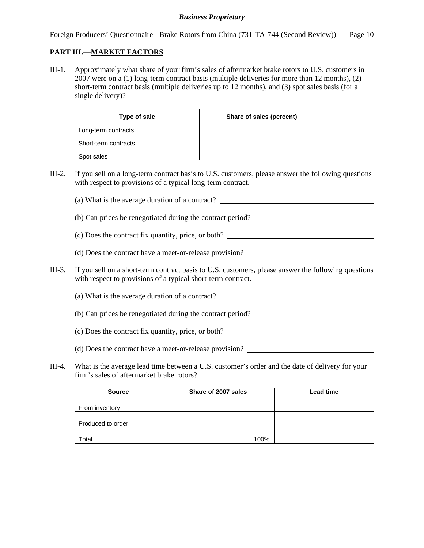Foreign Producers' Questionnaire - Brake Rotors from China (731-TA-744 (Second Review)) Page 10

### **PART III.—MARKET FACTORS**

III-1. Approximately what share of your firm's sales of aftermarket brake rotors to U.S. customers in 2007 were on a (1) long-term contract basis (multiple deliveries for more than 12 months), (2) short-term contract basis (multiple deliveries up to 12 months), and (3) spot sales basis (for a single delivery)?

| Type of sale         | Share of sales (percent) |
|----------------------|--------------------------|
| Long-term contracts  |                          |
| Short-term contracts |                          |
| Spot sales           |                          |

III-2. If you sell on a long-term contract basis to U.S. customers, please answer the following questions with respect to provisions of a typical long-term contract.

(a) What is the average duration of a contract?

(b) Can prices be renegotiated during the contract period?

(c) Does the contract fix quantity, price, or both?

- (d) Does the contract have a meet-or-release provision?
- III-3. If you sell on a short-term contract basis to U.S. customers, please answer the following questions with respect to provisions of a typical short-term contract.
	- (a) What is the average duration of a contract?
	- (b) Can prices be renegotiated during the contract period?
	- (c) Does the contract fix quantity, price, or both?
	- (d) Does the contract have a meet-or-release provision?
- III-4. What is the average lead time between a U.S. customer's order and the date of delivery for your firm's sales of aftermarket brake rotors?

| <b>Source</b>     | Share of 2007 sales | Lead time |
|-------------------|---------------------|-----------|
|                   |                     |           |
| From inventory    |                     |           |
|                   |                     |           |
| Produced to order |                     |           |
|                   |                     |           |
| Total             | 100%                |           |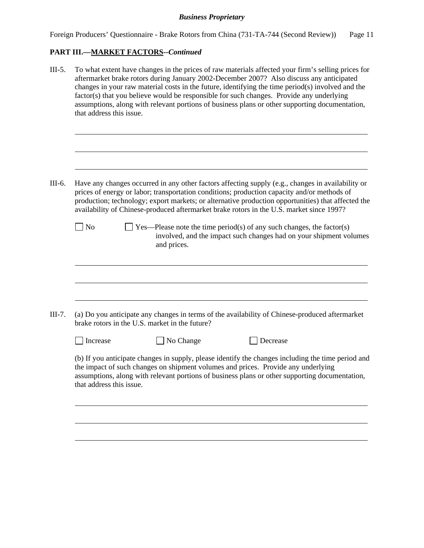| Foreign Producers' Questionnaire - Brake Rotors from China (731-TA-744 (Second Review)) |  |  | Page 11 |
|-----------------------------------------------------------------------------------------|--|--|---------|
|                                                                                         |  |  |         |
|                                                                                         |  |  |         |
|                                                                                         |  |  |         |

# **PART III.—MARKET FACTORS***--Continued*

| $III-5.$ | that address this issue. |                                                | To what extent have changes in the prices of raw materials affected your firm's selling prices for<br>aftermarket brake rotors during January 2002-December 2007? Also discuss any anticipated<br>changes in your raw material costs in the future, identifying the time period(s) involved and the<br>factor(s) that you believe would be responsible for such changes. Provide any underlying<br>assumptions, along with relevant portions of business plans or other supporting documentation, |
|----------|--------------------------|------------------------------------------------|---------------------------------------------------------------------------------------------------------------------------------------------------------------------------------------------------------------------------------------------------------------------------------------------------------------------------------------------------------------------------------------------------------------------------------------------------------------------------------------------------|
|          |                          |                                                |                                                                                                                                                                                                                                                                                                                                                                                                                                                                                                   |
| III-6.   |                          |                                                | Have any changes occurred in any other factors affecting supply (e.g., changes in availability or<br>prices of energy or labor; transportation conditions; production capacity and/or methods of<br>production; technology; export markets; or alternative production opportunities) that affected the<br>availability of Chinese-produced aftermarket brake rotors in the U.S. market since 1997?                                                                                                |
|          | $\Box$ No                | and prices.                                    | $\Box$ Yes—Please note the time period(s) of any such changes, the factor(s)<br>involved, and the impact such changes had on your shipment volumes                                                                                                                                                                                                                                                                                                                                                |
|          |                          |                                                |                                                                                                                                                                                                                                                                                                                                                                                                                                                                                                   |
| $III-7.$ |                          | brake rotors in the U.S. market in the future? | (a) Do you anticipate any changes in terms of the availability of Chinese-produced aftermarket                                                                                                                                                                                                                                                                                                                                                                                                    |
|          | $\Box$ Increase          | No Change                                      | Decrease                                                                                                                                                                                                                                                                                                                                                                                                                                                                                          |
|          | that address this issue. |                                                | (b) If you anticipate changes in supply, please identify the changes including the time period and<br>the impact of such changes on shipment volumes and prices. Provide any underlying<br>assumptions, along with relevant portions of business plans or other supporting documentation,                                                                                                                                                                                                         |
|          |                          |                                                |                                                                                                                                                                                                                                                                                                                                                                                                                                                                                                   |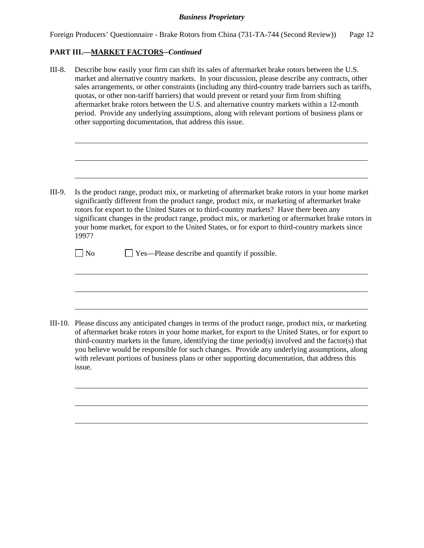| Foreign Producers' Questionnaire - Brake Rotors from China (731-TA-744 (Second Review)) |  |  | Page 12 |
|-----------------------------------------------------------------------------------------|--|--|---------|
|                                                                                         |  |  |         |
|                                                                                         |  |  |         |
|                                                                                         |  |  |         |

#### **PART III.—MARKET FACTORS***--Continued*

l

 $\overline{a}$ 

 $\overline{a}$ 

 $\overline{a}$ 

 $\overline{a}$ 

 $\overline{a}$ 

 $\overline{a}$ 

 $\overline{a}$ 

 $\overline{a}$ 

III-8. Describe how easily your firm can shift its sales of aftermarket brake rotors between the U.S. market and alternative country markets. In your discussion, please describe any contracts, other sales arrangements, or other constraints (including any third-country trade barriers such as tariffs, quotas, or other non-tariff barriers) that would prevent or retard your firm from shifting aftermarket brake rotors between the U.S. and alternative country markets within a 12-month period. Provide any underlying assumptions, along with relevant portions of business plans or other supporting documentation, that address this issue.

III-9. Is the product range, product mix, or marketing of aftermarket brake rotors in your home market significantly different from the product range, product mix, or marketing of aftermarket brake rotors for export to the United States or to third-country markets? Have there been any significant changes in the product range, product mix, or marketing or aftermarket brake rotors in your home market, for export to the United States, or for export to third-country markets since 1997?

 $\Box$  No  $\Box$  Yes—Please describe and quantify if possible.

III-10. Please discuss any anticipated changes in terms of the product range, product mix, or marketing of aftermarket brake rotors in your home market, for export to the United States, or for export to third-country markets in the future, identifying the time period(s) involved and the factor(s) that you believe would be responsible for such changes. Provide any underlying assumptions, along with relevant portions of business plans or other supporting documentation, that address this issue.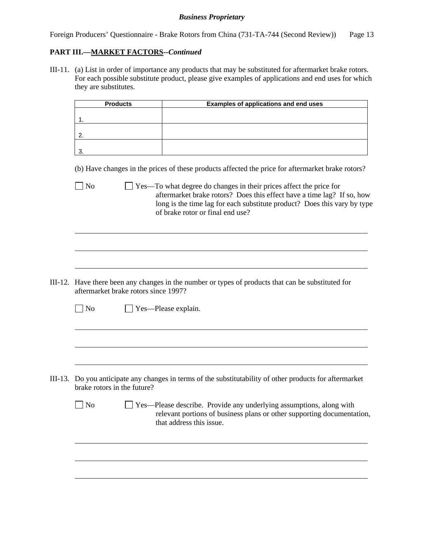Foreign Producers' Questionnaire - Brake Rotors from China (731-TA-744 (Second Review)) Page 13

## **PART III.—MARKET FACTORS***--Continued*

III-11. (a) List in order of importance any products that may be substituted for aftermarket brake rotors. For each possible substitute product, please give examples of applications and end uses for which they are substitutes.

|                             | <b>Products</b> |                                      | <b>Examples of applications and end uses</b>                                                                                                                                                                                                                 |  |  |  |
|-----------------------------|-----------------|--------------------------------------|--------------------------------------------------------------------------------------------------------------------------------------------------------------------------------------------------------------------------------------------------------------|--|--|--|
| 1.                          |                 |                                      |                                                                                                                                                                                                                                                              |  |  |  |
| 2.                          |                 |                                      |                                                                                                                                                                                                                                                              |  |  |  |
|                             |                 |                                      |                                                                                                                                                                                                                                                              |  |  |  |
| 3.                          |                 |                                      |                                                                                                                                                                                                                                                              |  |  |  |
|                             |                 |                                      | (b) Have changes in the prices of these products affected the price for aftermarket brake rotors?                                                                                                                                                            |  |  |  |
| No                          |                 |                                      | Yes—To what degree do changes in their prices affect the price for<br>aftermarket brake rotors? Does this effect have a time lag? If so, how<br>long is the time lag for each substitute product? Does this vary by type<br>of brake rotor or final end use? |  |  |  |
|                             |                 |                                      |                                                                                                                                                                                                                                                              |  |  |  |
|                             |                 |                                      |                                                                                                                                                                                                                                                              |  |  |  |
|                             |                 |                                      | III-12. Have there been any changes in the number or types of products that can be substituted for                                                                                                                                                           |  |  |  |
|                             |                 | aftermarket brake rotors since 1997? |                                                                                                                                                                                                                                                              |  |  |  |
| $\Box$ No                   |                 | Yes-Please explain.                  |                                                                                                                                                                                                                                                              |  |  |  |
|                             |                 |                                      |                                                                                                                                                                                                                                                              |  |  |  |
|                             |                 |                                      |                                                                                                                                                                                                                                                              |  |  |  |
|                             |                 |                                      |                                                                                                                                                                                                                                                              |  |  |  |
| brake rotors in the future? |                 |                                      | Do you anticipate any changes in terms of the substitutability of other products for aftermarket                                                                                                                                                             |  |  |  |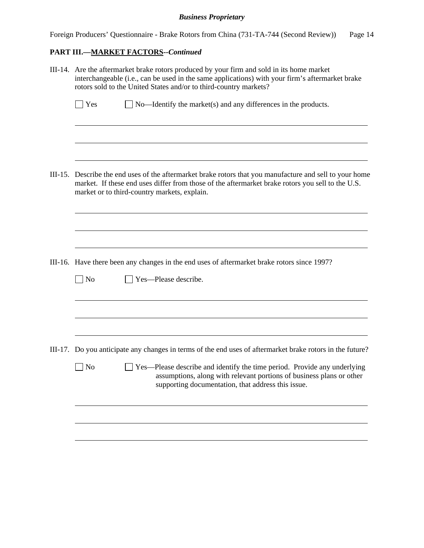| Foreign Producers' Questionnaire - Brake Rotors from China (731-TA-744 (Second Review)) |  |  | Page 14 |
|-----------------------------------------------------------------------------------------|--|--|---------|
|                                                                                         |  |  |         |
|                                                                                         |  |  |         |
|                                                                                         |  |  |         |

# **PART III.—MARKET FACTORS***--Continued*

|         | III-14. Are the aftermarket brake rotors produced by your firm and sold in its home market<br>interchangeable (i.e., can be used in the same applications) with your firm's aftermarket brake<br>rotors sold to the United States and/or to third-country markets? |
|---------|--------------------------------------------------------------------------------------------------------------------------------------------------------------------------------------------------------------------------------------------------------------------|
|         | Yes<br>$\Box$ No—Identify the market(s) and any differences in the products.                                                                                                                                                                                       |
|         |                                                                                                                                                                                                                                                                    |
| III-15. | Describe the end uses of the aftermarket brake rotors that you manufacture and sell to your home<br>market. If these end uses differ from those of the aftermarket brake rotors you sell to the U.S.<br>market or to third-country markets, explain.               |
|         |                                                                                                                                                                                                                                                                    |
|         | III-16. Have there been any changes in the end uses of aftermarket brake rotors since 1997?                                                                                                                                                                        |
|         | $\log$<br>Yes-Please describe.                                                                                                                                                                                                                                     |
|         |                                                                                                                                                                                                                                                                    |
|         | III-17. Do you anticipate any changes in terms of the end uses of aftermarket brake rotors in the future?                                                                                                                                                          |
|         | $\vert$ No<br>Yes—Please describe and identify the time period. Provide any underlying<br>assumptions, along with relevant portions of business plans or other<br>supporting documentation, that address this issue.                                               |
|         |                                                                                                                                                                                                                                                                    |
|         |                                                                                                                                                                                                                                                                    |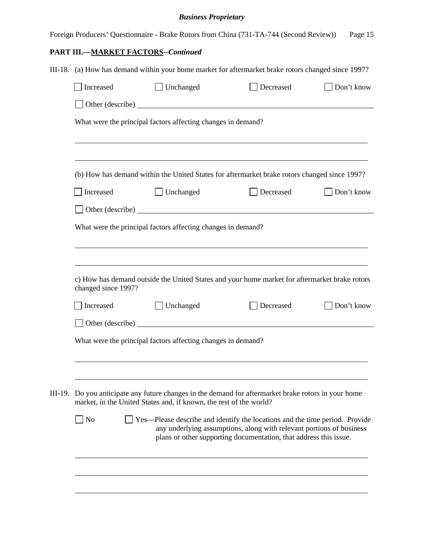|                     | <b>Business Proprietary</b>                                                                                                                                                |                                                                             |            |
|---------------------|----------------------------------------------------------------------------------------------------------------------------------------------------------------------------|-----------------------------------------------------------------------------|------------|
|                     | Foreign Producers' Questionnaire - Brake Rotors from China (731-TA-744 (Second Review))                                                                                    |                                                                             | Page 15    |
|                     | <b>PART III.-MARKET FACTORS--Continued</b>                                                                                                                                 |                                                                             |            |
|                     | III-18. (a) How has demand within your home market for aftermarket brake rotors changed since 1997?                                                                        |                                                                             |            |
| Increased           | Unchanged                                                                                                                                                                  | Decreased                                                                   | Don't know |
|                     | Other (describe)                                                                                                                                                           |                                                                             |            |
|                     | What were the principal factors affecting changes in demand?                                                                                                               |                                                                             |            |
|                     |                                                                                                                                                                            |                                                                             |            |
|                     | (b) How has demand within the United States for aftermarket brake rotors changed since 1997?                                                                               |                                                                             |            |
| Increased           | $\Box$ Unchanged                                                                                                                                                           | Decreased                                                                   | Don't know |
|                     |                                                                                                                                                                            |                                                                             |            |
|                     | What were the principal factors affecting changes in demand?                                                                                                               |                                                                             |            |
| changed since 1997? | c) How has demand outside the United States and your home market for aftermarket brake rotors                                                                              |                                                                             |            |
| Increased           | Unchanged                                                                                                                                                                  | Decreased                                                                   | Don't know |
|                     | Other (describe)                                                                                                                                                           |                                                                             |            |
|                     | What were the principal factors affecting changes in demand?                                                                                                               |                                                                             |            |
|                     |                                                                                                                                                                            |                                                                             |            |
|                     |                                                                                                                                                                            |                                                                             |            |
|                     | III-19. Do you anticipate any future changes in the demand for aftermarket brake rotors in your home<br>market, in the United States and, if known, the rest of the world? |                                                                             |            |
| No                  |                                                                                                                                                                            | Yes—Please describe and identify the locations and the time period. Provide |            |

l

 $\overline{a}$ 

 $\overline{a}$ 

any underlying assumptions, along with relevant portions of business plans or other supporting documentation, that address this issue.